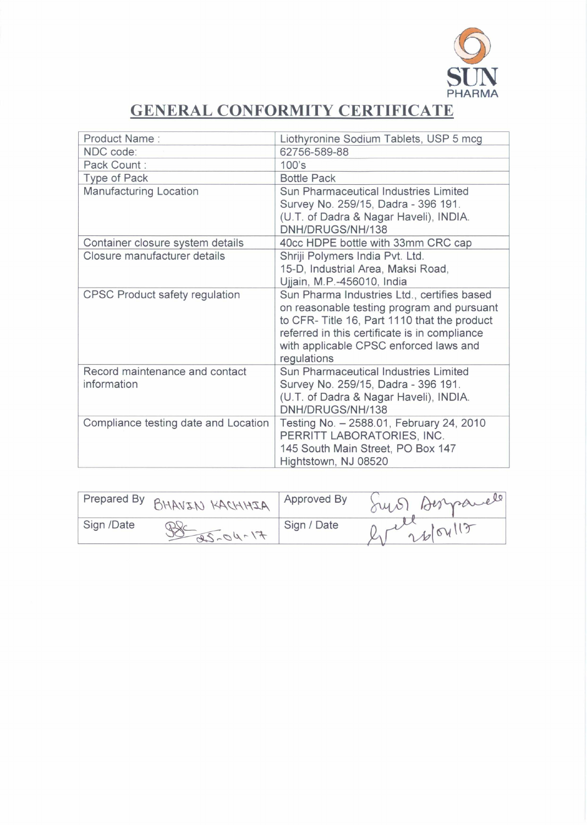

## **GENERAL CONFORMITY CERTIFICATE**

| Product Name:                                 | Liothyronine Sodium Tablets, USP 5 mcg                                                                                                                                                                                                              |
|-----------------------------------------------|-----------------------------------------------------------------------------------------------------------------------------------------------------------------------------------------------------------------------------------------------------|
| NDC code:                                     | 62756-589-88                                                                                                                                                                                                                                        |
| Pack Count:                                   | $100$ 's                                                                                                                                                                                                                                            |
| Type of Pack                                  | <b>Bottle Pack</b>                                                                                                                                                                                                                                  |
| <b>Manufacturing Location</b>                 | Sun Pharmaceutical Industries Limited<br>Survey No. 259/15, Dadra - 396 191.<br>(U.T. of Dadra & Nagar Haveli), INDIA.<br>DNH/DRUGS/NH/138                                                                                                          |
| Container closure system details              | 40cc HDPE bottle with 33mm CRC cap                                                                                                                                                                                                                  |
| Closure manufacturer details                  | Shriji Polymers India Pvt. Ltd.<br>15-D, Industrial Area, Maksi Road,<br>Ujjain, M.P.-456010, India                                                                                                                                                 |
| <b>CPSC Product safety regulation</b>         | Sun Pharma Industries Ltd., certifies based<br>on reasonable testing program and pursuant<br>to CFR- Title 16, Part 1110 that the product<br>referred in this certificate is in compliance<br>with applicable CPSC enforced laws and<br>regulations |
| Record maintenance and contact<br>information | Sun Pharmaceutical Industries Limited<br>Survey No. 259/15, Dadra - 396 191.<br>(U.T. of Dadra & Nagar Haveli), INDIA.<br>DNH/DRUGS/NH/138                                                                                                          |
| Compliance testing date and Location          | Testing No. - 2588.01, February 24, 2010<br>PERRITT LABORATORIES, INC.<br>145 South Main Street, PO Box 147<br>Hightstown, NJ 08520                                                                                                                 |

| Prepared By | BHAVIN KACHHIA  | Approved By | Dermande |
|-------------|-----------------|-------------|----------|
| Sign /Date  | $F1 - 100 - 28$ | Sign / Date | 26/04    |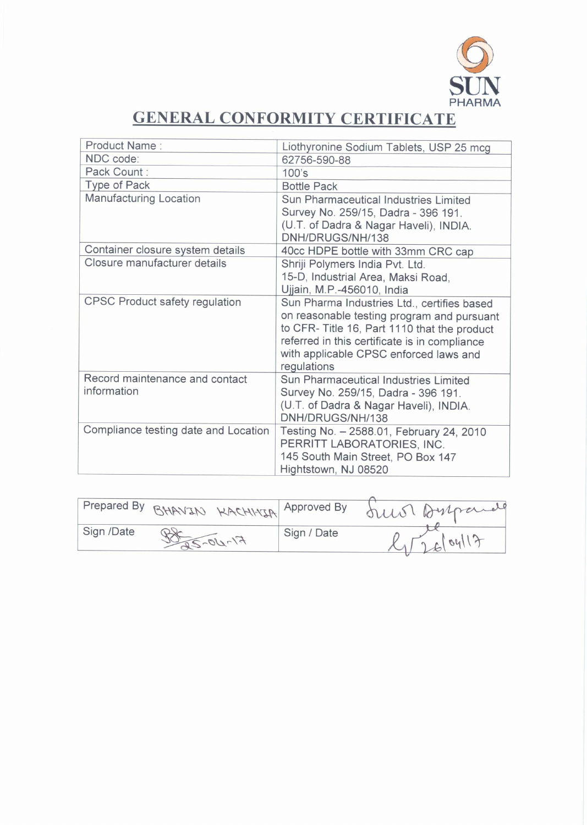

## **GENERAL CONFORMITY CERTIFICATE**

| Product Name:                                 | Liothyronine Sodium Tablets, USP 25 mcg                                                                                                                                                                                                            |
|-----------------------------------------------|----------------------------------------------------------------------------------------------------------------------------------------------------------------------------------------------------------------------------------------------------|
| NDC code:                                     | 62756-590-88                                                                                                                                                                                                                                       |
| Pack Count:                                   | 100's                                                                                                                                                                                                                                              |
| Type of Pack                                  | <b>Bottle Pack</b>                                                                                                                                                                                                                                 |
| <b>Manufacturing Location</b>                 | Sun Pharmaceutical Industries Limited<br>Survey No. 259/15, Dadra - 396 191.<br>(U.T. of Dadra & Nagar Haveli), INDIA.<br>DNH/DRUGS/NH/138                                                                                                         |
| Container closure system details              | 40cc HDPE bottle with 33mm CRC cap                                                                                                                                                                                                                 |
| Closure manufacturer details                  | Shriji Polymers India Pvt. Ltd.<br>15-D, Industrial Area, Maksi Road,<br>Ujjain, M.P.-456010, India                                                                                                                                                |
| <b>CPSC Product safety regulation</b>         | Sun Pharma Industries Ltd., certifies based<br>on reasonable testing program and pursuant<br>to CFR-Title 16, Part 1110 that the product<br>referred in this certificate is in compliance<br>with applicable CPSC enforced laws and<br>regulations |
| Record maintenance and contact<br>information | Sun Pharmaceutical Industries Limited<br>Survey No. 259/15, Dadra - 396 191.<br>(U.T. of Dadra & Nagar Haveli), INDIA.<br>DNH/DRUGS/NH/138                                                                                                         |
| Compliance testing date and Location          | Testing No. - 2588.01, February 24, 2010<br>PERRITT LABORATORIES, INC.<br>145 South Main Street, PO Box 147<br>Hightstown, NJ 08520                                                                                                                |

|            |            | Prepared By BHAVIN KACHINIA Approved By | our Burnard |
|------------|------------|-----------------------------------------|-------------|
| Sign /Date | $51-100-7$ | Sign / Date                             | 00<br>6(    |